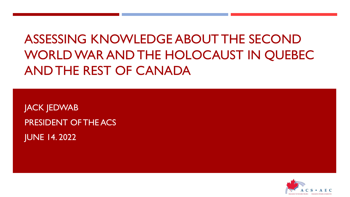

PRESIDENT OF THE ACS JUNE 14. 2022

JACK JEDWAB

ASSESSING KNOWLEDGE ABOUT THE SECOND WORLD WAR AND THE HOLOCAUST IN QUEBEC AND THE REST OF CANADA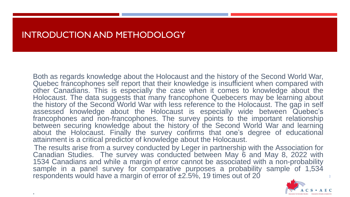#### INTRODUCTION AND METHODOLOGY

.

Both as regards knowledge about the Holocaust and the history of the Second World War, Quebec francophones self report that their knowledge is insufficient when compared with other Canadians. This is especially the case when it comes to knowledge about the Holocaust. The data suggests that many francophone Quebecers may be learning about the history of the Second World War with less reference to the Holocaust. The gap in self assessed knowledge about the Holocaust is especially wide between Quebec's francophones and non-francophones. The survey points to the important relationship between securing knowledge about the history of the Second World War and learning about the Holocaust. Finally the survey confirms that one's degree of educational attainment is a critical predictor of knowledge about the Holocaust.

The results arise from a survey conducted by Leger in partnership with the Association for Canadian Studies. The survey was conducted between May 6 and May 8, 2022 with 1534 Canadians and while a margin of error cannot be associated with a non-probability sample in a panel survey for comparative purposes a probability sample of 1,534 respondents would have a margin of error of ±2.5%, 19 times out of 20

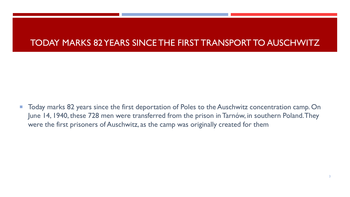### TODAY MARKS 82 YEARS SINCE THE FIRST TRANSPORT TO AUSCHWITZ

**Today marks 82 years since the first deportation of Poles to the Auschwitz concentration camp. On** June 14, 1940, these 728 men were transferred from the prison in Tarnów, in southern Poland. They were the first prisoners of Auschwitz, as the camp was originally created for them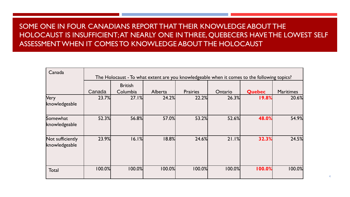#### SOME ONE IN FOUR CANADIANS REPORT THAT THEIR KNOWLEDGE ABOUT THE HOLOCAUST IS INSUFFICIENT; AT NEARLY ONE IN THREE, QUEBECERS HAVE THE LOWEST SELF ASSESSMENT WHEN IT COMES TO KNOWLEDGE ABOUT THE HOLOCAUST

| Canada                            | The Holocaust - To what extent are you knowledgeable when it comes to the following topics? |                            |         |                 |         |               |                  |
|-----------------------------------|---------------------------------------------------------------------------------------------|----------------------------|---------|-----------------|---------|---------------|------------------|
|                                   | Canada                                                                                      | <b>British</b><br>Columbia | Alberta | <b>Prairies</b> | Ontario | <b>Quebec</b> | <b>Maritimes</b> |
| Very<br>knowledgeable             | 23.7%                                                                                       | 27.1%                      | 24.2%   | 22.2%           | 26.3%   | 19.8%         | 20.6%            |
| Somewhat<br>knowledgeable         | 52.3%                                                                                       | 56.8%                      | 57.0%   | 53.2%           | 52.6%   | 48.0%         | 54.9%            |
| Not sufficiently<br>knowledgeable | 23.9%                                                                                       | 16.1%                      | 18.8%   | 24.6%           | 21.1%   | 32.3%         | 24.5%            |
| Total                             | 100.0%                                                                                      | 100.0%                     | 100.0%  | 100.0%          | 100.0%  | 100.0%        | 100.0%           |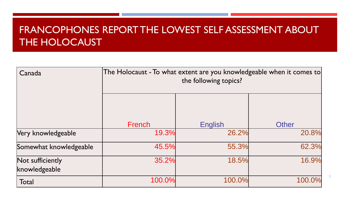# FRANCOPHONES REPORT THE LOWEST SELF ASSESSMENT ABOUT THE HOLOCAUST

| Canada                            | The Holocaust - To what extent are you knowledgeable when it comes to<br>the following topics? |                |              |  |
|-----------------------------------|------------------------------------------------------------------------------------------------|----------------|--------------|--|
|                                   | French                                                                                         | <b>English</b> | <b>Other</b> |  |
| Very knowledgeable                | 19.3%                                                                                          | 26.2%          | 20.8%        |  |
| Somewhat knowledgeable            | 45.5%                                                                                          | 55.3%          | 62.3%        |  |
| Not sufficiently<br>knowledgeable | 35.2%                                                                                          | 18.5%          | 16.9%        |  |
| Total                             | 100.0%                                                                                         | 100.0%         | 100.0%       |  |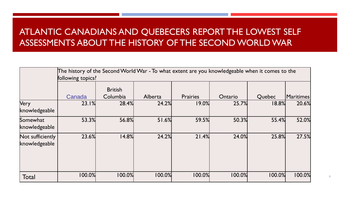# ATLANTIC CANADIANS AND QUEBECERS REPORT THE LOWEST SELF ASSESSMENTS ABOUT THE HISTORY OF THE SECOND WORLD WAR

|                                   | The history of the Second World War - To what extent are you knowledgeable when it comes to the<br>following topics? |                            |         |                 |         |        |           |
|-----------------------------------|----------------------------------------------------------------------------------------------------------------------|----------------------------|---------|-----------------|---------|--------|-----------|
|                                   | Canada                                                                                                               | <b>British</b><br>Columbia | Alberta | <b>Prairies</b> | Ontario | Quebec | Maritimes |
| <b>Very</b><br>knowledgeable      | 23.1%                                                                                                                | 28.4%                      | 24.2%   | 19.0%           | 25.7%   | 18.8%  | 20.6%     |
| Somewhat<br>knowledgeable         | 53.3%                                                                                                                | 56.8%                      | 51.6%   | 59.5%           | 50.3%   | 55.4%  | 52.0%     |
| Not sufficiently<br>knowledgeable | 23.6%                                                                                                                | 14.8%                      | 24.2%   | 21.4%           | 24.0%   | 25.8%  | 27.5%     |
| Total                             | 100.0%                                                                                                               | 100.0%                     | 100.0%  | 100.0%          | 100.0%  | 100.0% | 100.0%    |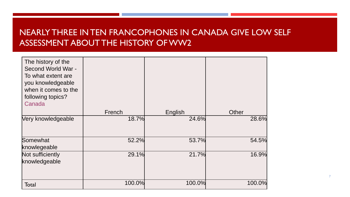#### NEARLY THREE IN TEN FRANCOPHONES IN CANADA GIVE LOW SELF ASSESSMENT ABOUT THE HISTORY OF WW2

| The history of the<br>Second World War -<br>To what extent are<br>you knowledgeable<br>when it comes to the<br>following topics?<br>Canada | French | English | <b>Other</b> |
|--------------------------------------------------------------------------------------------------------------------------------------------|--------|---------|--------------|
| Very knowledgeable                                                                                                                         | 18.7%  | 24.6%   | 28.6%        |
|                                                                                                                                            |        |         |              |
| Somewhat                                                                                                                                   | 52.2%  | 53.7%   | 54.5%        |
| knowlegeable                                                                                                                               |        |         |              |
| Not sufficiently                                                                                                                           | 29.1%  | 21.7%   | 16.9%        |
| knowledgeable                                                                                                                              |        |         |              |
| Total                                                                                                                                      | 100.0% | 100.0%  | 100.0%       |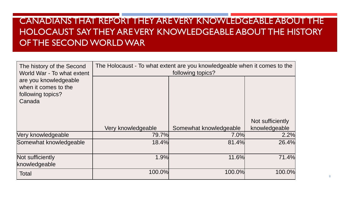# CANADIANS THAT REPORT THEY ARE VERY KNOWLEDGEABLE ABOUT THE HOLOCAUST SAY THEY ARE VERY KNOWLEDGEABLE ABOUT THE HISTORY OF THE SECOND WORLD WAR

| The history of the Second<br>World War - To what extent                      | The Holocaust - To what extent are you knowledgeable when it comes to the<br>following topics? |                        |                  |  |
|------------------------------------------------------------------------------|------------------------------------------------------------------------------------------------|------------------------|------------------|--|
| are you knowledgeable<br>when it comes to the<br>following topics?<br>Canada |                                                                                                |                        |                  |  |
|                                                                              |                                                                                                |                        | Not sufficiently |  |
|                                                                              | Very knowledgeable                                                                             | Somewhat knowledgeable | knowledgeable    |  |
| Very knowledgeable                                                           | 79.7%                                                                                          | 7.0%                   | 2.2%             |  |
| Somewhat knowledgeable                                                       | 18.4%                                                                                          | 81.4%                  | 26.4%            |  |
| Not sufficiently<br>knowledgeable                                            | 1.9%                                                                                           | 11.6%                  | 71.4%            |  |
| <b>Total</b>                                                                 | 100.0%                                                                                         | 100.0%                 | 100.0%           |  |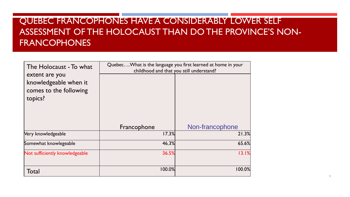## QUEBEC FRANCOPHONES HAVE A CONSIDERABLY LOWER SELF ASSESSMENT OF THE HOLOCAUST THAN DO THE PROVINCE'S NON-FRANCOPHONES

| The Holocaust - To what                                                      | Quebec What is the language you first learned at home in your<br>childhood and that you still understand? |                 |  |
|------------------------------------------------------------------------------|-----------------------------------------------------------------------------------------------------------|-----------------|--|
| extent are you<br>knowledgeable when it<br>comes to the following<br>topics? |                                                                                                           |                 |  |
|                                                                              | Francophone                                                                                               | Non-francophone |  |
| Very knowledgeable                                                           | 17.3%                                                                                                     | 21.3%           |  |
| Somewhat knowlegeable                                                        | 46.3%                                                                                                     | 65.6%           |  |
| Not sufficiently knowledgeable                                               | 36.5%                                                                                                     | 13.1%           |  |
| Total                                                                        | 100.0%                                                                                                    | 100.0%          |  |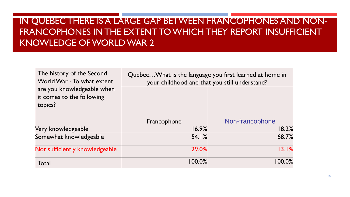# IN QUEBEC THERE IS A LARGE GAP BETWEEN FRANCOPHONES AND NON-FRANCOPHONES IN THE EXTENT TO WHICH THEY REPORT INSUFFICIENT KNOWLEDGE OF WORLD WAR 2

| The history of the Second<br>World War - To what extent            | Quebec What is the language you first learned at home in<br>your childhood and that you still understand? |                 |  |
|--------------------------------------------------------------------|-----------------------------------------------------------------------------------------------------------|-----------------|--|
| are you knowledgeable when<br>it comes to the following<br>topics? |                                                                                                           |                 |  |
|                                                                    | Francophone                                                                                               | Non-francophone |  |
| Very knowledgeable                                                 | 16.9%                                                                                                     | 18.2%           |  |
| Somewhat knowledgeable                                             | 54.1%                                                                                                     | 68.7%           |  |
| Not sufficiently knowledgeable                                     | 29.0%                                                                                                     | 13.1%           |  |
| Total                                                              | $100.0\%$                                                                                                 | 100.0%          |  |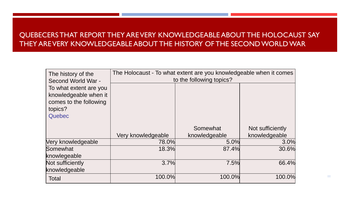#### QUEBECERS THAT REPORT THEY ARE VERY KNOWLEDGEABLE ABOUT THE HOLOCAUST SAY THEY ARE VERY KNOWLEDGEABLE ABOUT THE HISTORY OF THE SECOND WORLD WAR

| The history of the                                                                                                   | The Holocaust - To what extent are you knowledgeable when it comes<br>to the following topics? |               |                  |  |
|----------------------------------------------------------------------------------------------------------------------|------------------------------------------------------------------------------------------------|---------------|------------------|--|
| Second World War -<br>To what extent are you<br>knowledgeable when it<br>comes to the following<br>topics?<br>Quebec |                                                                                                |               |                  |  |
|                                                                                                                      |                                                                                                | Somewhat      | Not sufficiently |  |
|                                                                                                                      | Very knowledgeable                                                                             | knowledgeable | knowledgeable    |  |
| Very knowledgeable                                                                                                   | 78.0%                                                                                          | 5.0%          | 3.0%             |  |
| Somewhat                                                                                                             | 18.3%                                                                                          | 87.4%         | 30.6%            |  |
| knowlegeable                                                                                                         |                                                                                                |               |                  |  |
| Not sufficiently                                                                                                     | 3.7%                                                                                           | 7.5%          | 66.4%            |  |
| knowledgeable                                                                                                        |                                                                                                |               |                  |  |
| <b>Total</b>                                                                                                         | 100.0%                                                                                         | 100.0%        | 100.0%           |  |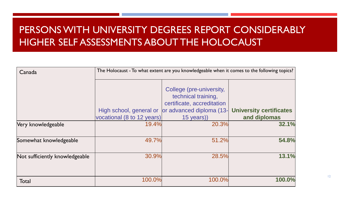# PERSONS WITH UNIVERSITY DEGREES REPORT CONSIDERABLY HIGHER SELF ASSESSMENTS ABOUT THE HOLOCAUST

| Canada                         |                            | The Holocaust - To what extent are you knowledgeable when it comes to the following topics?                                       |              |
|--------------------------------|----------------------------|-----------------------------------------------------------------------------------------------------------------------------------|--------------|
|                                | High school, general or    | College (pre-university,<br>technical training,<br>certificate, accreditation<br>or advanced diploma (13- University certificates |              |
|                                | vocational (8 to 12 years) | $15$ years))                                                                                                                      | and diplomas |
| Very knowledgeable             | 19.4%                      | 20.3%                                                                                                                             | 32.1%        |
| Somewhat knowledgeable         | 49.7%                      | 51.2%                                                                                                                             | 54.8%        |
| Not sufficiently knowledgeable | 30.9%                      | 28.5%                                                                                                                             | 13.1%        |
| Total                          | 100.0%                     | 100.0%                                                                                                                            | 100.0%       |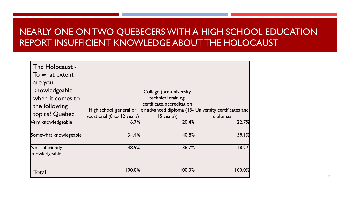### NEARLY ONE ON TWO QUEBECERS WITH A HIGH SCHOOL EDUCATION REPORT INSUFFICIENT KNOWLEDGE ABOUT THE HOLOCAUST

| The Holocaust -<br>To what extent                                               |                            |                                                                               |                                                     |
|---------------------------------------------------------------------------------|----------------------------|-------------------------------------------------------------------------------|-----------------------------------------------------|
| are you<br>knowledgeable<br>when it comes to<br>the following<br>topics? Quebec | High school, general or    | College (pre-university,<br>technical training,<br>certificate, accreditation | or advanced diploma (13-University certificates and |
|                                                                                 | vocational (8 to 12 years) | $15$ years))                                                                  | diplomas                                            |
| Very knowledgeable                                                              | 16.7%                      | 20.4%                                                                         | 22.7%                                               |
| Somewhat knowlegeable                                                           | 34.4%                      | 40.8%                                                                         | 59.1%                                               |
| Not sufficiently<br>knowledgeable                                               | 48.9%                      | 38.7%                                                                         | 18.2%                                               |
| Total                                                                           | $100.0\%$                  | 100.0%                                                                        | 100.0%                                              |